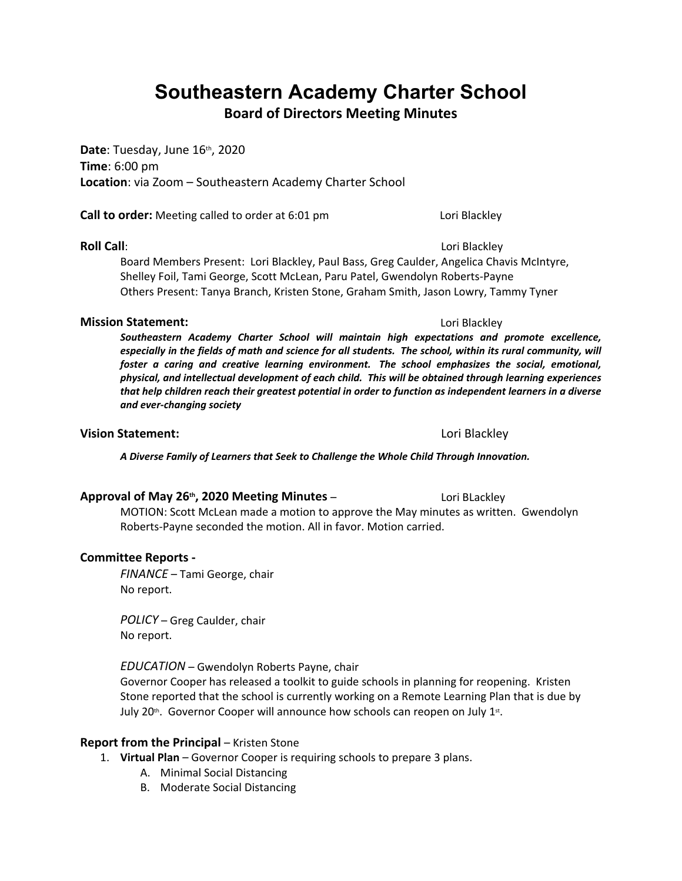# **Southeastern Academy Charter School**

**Board of Directors Meeting Minutes**

**Date**: Tuesday, June 16th, 2020 **Time**: 6:00 pm **Location**: via Zoom – Southeastern Academy Charter School

**Call to order:** Meeting called to order at 6:01 pm Lori Blackley

### **Roll Call**: Lori Blackley

Board Members Present: Lori Blackley, Paul Bass, Greg Caulder, Angelica Chavis McIntyre, Shelley Foil, Tami George, Scott McLean, Paru Patel, Gwendolyn Roberts-Payne Others Present: Tanya Branch, Kristen Stone, Graham Smith, Jason Lowry, Tammy Tyner

### **Mission Statement:**  $\qquad \qquad$  **Lori Blackley**

*Southeastern Academy Charter School will maintain high expectations and promote excellence, especially in the fields of math and science for all students. The school, within its rural community, will foster a caring and creative learning environment. The school emphasizes the social, emotional, physical, and intellectual development of each child. This will be obtained through learning experiences that help children reach their greatest potential in order to function as independent learners in a diverse and ever-changing society*

### **Vision Statement:** Lori Blackley

*A Diverse Family of Learners that Seek to Challenge the Whole Child Through Innovation.*

### **Approval of May 26<sup>th</sup>, 2020 Meeting Minutes – Lori Blackley Cori Blackley**

MOTION: Scott McLean made a motion to approve the May minutes as written. Gwendolyn Roberts-Payne seconded the motion. All in favor. Motion carried.

### **Committee Reports -**

*FINANCE* – Tami George, chair No report.

*POLICY* – Greg Caulder, chair No report.

*EDUCATION* – Gwendolyn Roberts Payne, chair Governor Cooper has released a toolkit to guide schools in planning for reopening. Kristen Stone reported that the school is currently working on a Remote Learning Plan that is due by July 20<sup>th</sup>. Governor Cooper will announce how schools can reopen on July 1st.

### **Report from the Principal – Kristen Stone**

- 1. **Virtual Plan** Governor Cooper is requiring schools to prepare 3 plans.
	- A. Minimal Social Distancing
	- B. Moderate Social Distancing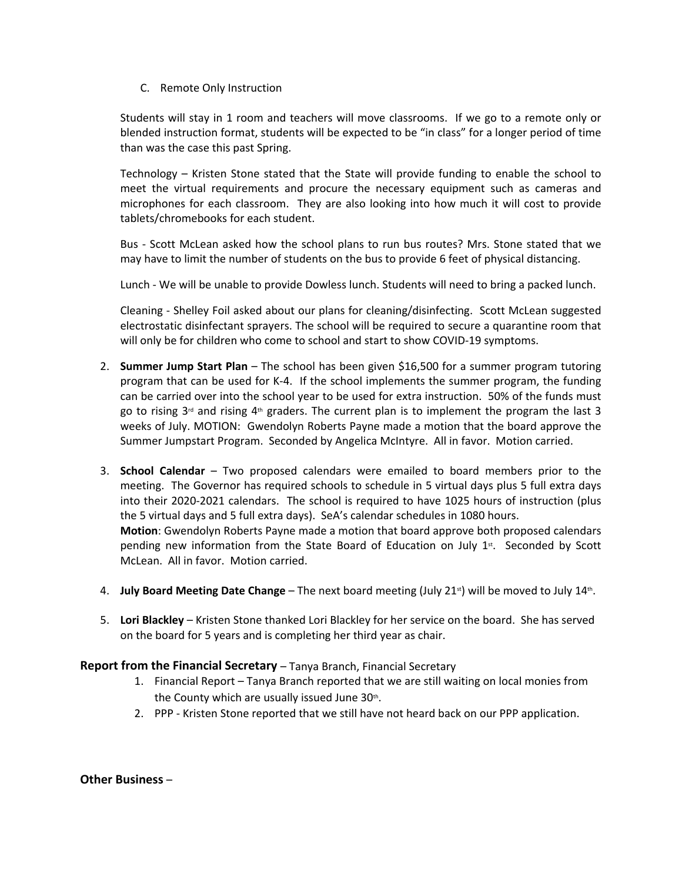C. Remote Only Instruction

Students will stay in 1 room and teachers will move classrooms. If we go to a remote only or blended instruction format, students will be expected to be "in class" for a longer period of time than was the case this past Spring.

Technology – Kristen Stone stated that the State will provide funding to enable the school to meet the virtual requirements and procure the necessary equipment such as cameras and microphones for each classroom. They are also looking into how much it will cost to provide tablets/chromebooks for each student.

Bus - Scott McLean asked how the school plans to run bus routes? Mrs. Stone stated that we may have to limit the number of students on the bus to provide 6 feet of physical distancing.

Lunch - We will be unable to provide Dowless lunch. Students will need to bring a packed lunch.

Cleaning - Shelley Foil asked about our plans for cleaning/disinfecting. Scott McLean suggested electrostatic disinfectant sprayers. The school will be required to secure a quarantine room that will only be for children who come to school and start to show COVID-19 symptoms.

- 2. **Summer Jump Start Plan** The school has been given \$16,500 for a summer program tutoring program that can be used for K-4. If the school implements the summer program, the funding can be carried over into the school year to be used for extra instruction. 50% of the funds must go to rising  $3<sup>rd</sup>$  and rising  $4<sup>th</sup>$  graders. The current plan is to implement the program the last 3 weeks of July. MOTION: Gwendolyn Roberts Payne made a motion that the board approve the Summer Jumpstart Program. Seconded by Angelica McIntyre. All in favor. Motion carried.
- 3. **School Calendar** Two proposed calendars were emailed to board members prior to the meeting. The Governor has required schools to schedule in 5 virtual days plus 5 full extra days into their 2020-2021 calendars. The school is required to have 1025 hours of instruction (plus the 5 virtual days and 5 full extra days). SeA's calendar schedules in 1080 hours. **Motion**: Gwendolyn Roberts Payne made a motion that board approve both proposed calendars pending new information from the State Board of Education on July  $1<sup>st</sup>$ . Seconded by Scott McLean. All in favor. Motion carried.
- 4. **July Board Meeting Date Change** The next board meeting (July 21<sup>st</sup>) will be moved to July 14<sup>th</sup>.
- . 5. **Lori Blackley** Kristen Stone thanked Lori Blackley for her service on the board. She has served on the board for 5 years and is completing her third year as chair.

### **Report from the Financial Secretary** – Tanya Branch, Financial Secretary

- 1. Financial Report Tanya Branch reported that we are still waiting on local monies from the County which are usually issued June 30th.
- . 2. PPP Kristen Stone reported that we still have not heard back on our PPP application.

**Other Business** –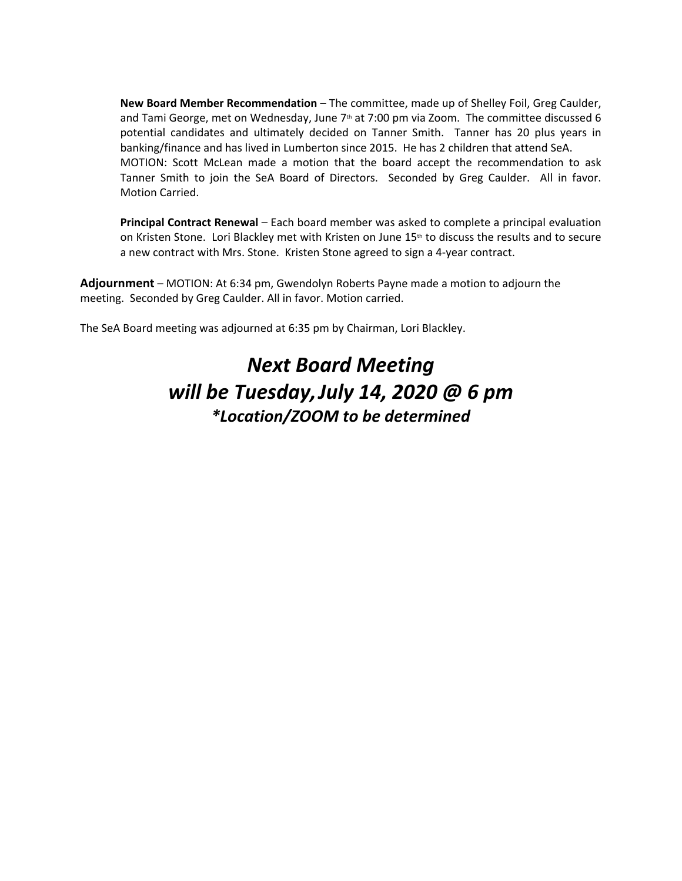**New Board Member Recommendation** – The committee, made up of Shelley Foil, Greg Caulder, and Tami George, met on Wednesday, June  $7<sup>th</sup>$  at 7:00 pm via Zoom. The committee discussed 6 potential candidates and ultimately decided on Tanner Smith. Tanner has 20 plus years in banking/finance and has lived in Lumberton since 2015. He has 2 children that attend SeA. MOTION: Scott McLean made a motion that the board accept the recommendation to ask Tanner Smith to join the SeA Board of Directors. Seconded by Greg Caulder. All in favor. Motion Carried.

**Principal Contract Renewal** – Each board member was asked to complete a principal evaluation on Kristen Stone. Lori Blackley met with Kristen on June 15<sup>th</sup> to discuss the results and to secure a new contract with Mrs. Stone. Kristen Stone agreed to sign a 4-year contract.

**Adjournment** – MOTION: At 6:34 pm, Gwendolyn Roberts Payne made a motion to adjourn the meeting. Seconded by Greg Caulder. All in favor. Motion carried.

The SeA Board meeting was adjourned at 6:35 pm by Chairman, Lori Blackley.

# *Next Board Meeting will be Tuesday,July 14, 2020 @ 6 pm \*Location/ZOOM to be determined*